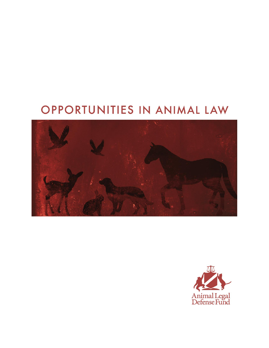# OPPORTUNITIES IN ANIMAL LAW



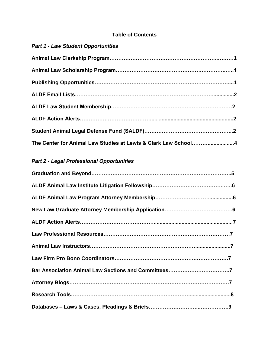## **Table of Contents**

## *Part 1 - Law Student Opportunities*

| The Center for Animal Law Studies at Lewis & Clark Law School4 |  |
|----------------------------------------------------------------|--|

# *Part 2 - Legal Professional Opportunities*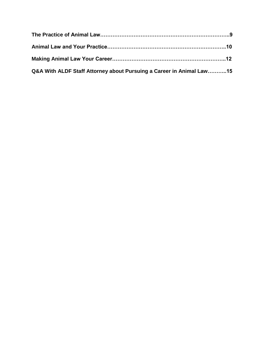| Q&A With ALDF Staff Attorney about Pursuing a Career in Animal Law15 |  |
|----------------------------------------------------------------------|--|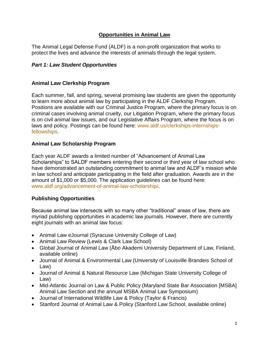## **Opportunities in Animal Law**

The Animal Legal Defense Fund (ALDF) is a non-profit organization that works to protect the lives and advance the interests of animals through the legal system.

## *Part 1: Law Student Opportunities*

## **Animal Law Clerkship Program**

Each summer, fall, and spring, several promising law students are given the opportunity to learn more about animal law by participating in the ALDF Clerkship Program. Positions are available with our Criminal Justice Program, where the primary focus is on criminal cases involving animal cruelty, our Litigation Program, where the primary focus is on civil animal law issues, and our Legislative Affairs Program, where the focus is on laws and policy. Postings can be found here: [www.aldf.us/clerkships-internships](http://www.aldf.us/clerkships-internships-fellowships)[fellowships.](http://www.aldf.us/clerkships-internships-fellowships)

## **Animal Law Scholarship Program**

Each year ALDF awards a limited number of "Advancement of Animal Law Scholarships" to SALDF members entering their second or third year of law school who have demonstrated an outstanding commitment to animal law and ALDF's mission while in law school and anticipate participating in the field after graduation. Awards are in the amount of \$1,000 or \$5,000. The application guidelines can be found here: [www.aldf.org/advancement-of-animal-law-scholarship/.](http://www.aldf.org/advancement-of-animal-law-scholarship/)

## **Publishing Opportunities**

Because animal law intersects with so many other "traditional" areas of law, there are myriad publishing opportunities in academic law journals. However, there are currently eight journals with an animal law focus:

- Animal Law eJournal (Syracuse University College of Law)
- Animal Law Review (Lewis & Clark Law School)
- Global Journal of Animal Law (Åbo Akademi University Department of Law, Finland, available online)
- Journal of Animal & Environmental Law (University of Louisville Brandeis School of Law)
- Journal of Animal & Natural Resource Law (Michigan State University College of Law)
- Mid-Atlantic Journal on Law & Public Policy (Maryland State Bar Association [MSBA] Animal Law Section and the annual MSBA Animal Law Symposium)
- Journal of International Wildlife Law & Policy (Taylor & Francis)
- Stanford Journal of Animal Law & Policy (Stanford Law School, available online)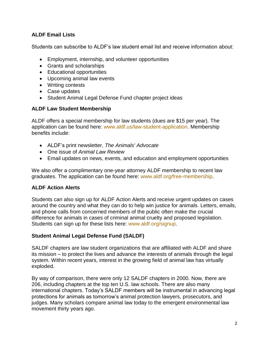## **ALDF Email Lists**

Students can subscribe to ALDF's law student email list and receive information about:

- Employment, internship, and volunteer opportunities
- Grants and scholarships
- Educational opportunities
- Upcoming animal law events
- Writing contests
- Case updates
- Student Animal Legal Defense Fund chapter project ideas

#### **ALDF Law Student Membership**

ALDF offers a special membership for law students (dues are \$15 per year). The application can be found here: [www.aldf.us/law-student-application.](http://www.aldf.us/law-student-application) Membership benefits include:

- ALDF's print newsletter, *The Animals' Advocate*
- One issue of *Animal Law Review*
- Email updates on news, events, and education and employment opportunities

We also offer a complimentary one-year attorney ALDF membership to recent law graduates. The application can be found here: [www.aldf.org/free-membership.](http://www.aldf.org/free-membership)

## **ALDF Action Alerts**

Students can also sign up for ALDF Action Alerts and receive urgent updates on cases around the country and what they can do to help win justice for animals. Letters, emails, and phone calls from concerned members of the public often make the crucial difference for animals in cases of criminal animal cruelty and proposed legislation. Students can sign up for these lists here: [www.aldf.org/signup.](http://www.aldf.org/signup)

## **Student Animal Legal Defense Fund (SALDF)**

SALDF chapters are law student organizations that are affiliated with ALDF and share its mission – to protect the lives and advance the interests of animals through the legal system. Within recent years, interest in the growing field of animal law has virtually exploded.

By way of comparison, there were only 12 SALDF chapters in 2000. Now, there are 206, including chapters at the top ten U.S. law schools. There are also many international chapters. Today's SALDF members will be instrumental in advancing legal protections for animals as tomorrow's animal protection lawyers, prosecutors, and judges. Many scholars compare animal law today to the emergent environmental law movement thirty years ago.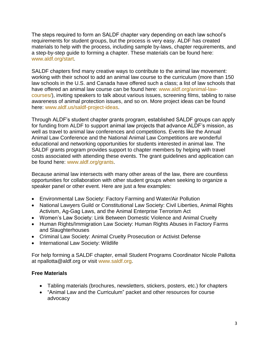The steps required to form an SALDF chapter vary depending on each law school's requirements for student groups, but the process is very easy. ALDF has created materials to help with the process, including sample by-laws, chapter requirements, and a step-by-step guide to forming a chapter. These materials can be found here: [www.aldf.org/start.](http://www.aldf.org/start)

SALDF chapters find many creative ways to contribute to the animal law movement: working with their school to add an animal law course to the curriculum (more than 150 law schools in the U.S. and Canada have offered such a class; a list of law schools that have offered an animal law course can be found here: [www.aldf.org/animal-law](http://www.aldf.org/animal-law-courses/)[courses/\)](http://www.aldf.org/animal-law-courses/), inviting speakers to talk about various issues, screening films, tabling to raise awareness of animal protection issues, and so on. More project ideas can be found here: [www.aldf.us/saldf-project-ideas.](http://www.aldf.us/saldf-project-ideas)

Through ALDF's student chapter grants program, established SALDF groups can apply for funding from ALDF to support animal law projects that advance ALDF's mission, as well as travel to animal law conferences and competitions. Events like the Annual Animal Law Conference and the National Animal Law Competitions are wonderful educational and networking opportunities for students interested in animal law. The SALDF grants program provides support to chapter members by helping with travel costs associated with attending these events. The grant guidelines and application can be found here: [www.aldf.org/grants.](http://www.aldf.org/grants)

Because animal law intersects with many other areas of the law, there are countless opportunities for collaboration with other student groups when seeking to organize a speaker panel or other event. Here are just a few examples:

- Environmental Law Society: Factory Farming and Water/Air Pollution
- National Lawyers Guild or Constitutional Law Society: Civil Liberties, Animal Rights Activism, Ag-Gag Laws, and the Animal Enterprise Terrorism Act
- Women's Law Society: Link Between Domestic Violence and Animal Cruelty
- Human Rights/Immigration Law Society: Human Rights Abuses in Factory Farms and Slaughterhouses
- Criminal Law Society: Animal Cruelty Prosecution or Activist Defense
- International Law Society: Wildlife

For help forming a SALDF chapter, email Student Programs Coordinator Nicole Pallotta at [npallotta@aldf.org](mailto:npallotta@aldf.org) or visit [www.saldf.org.](http://www.saldf.org/)

## **Free Materials**

- Tabling materials (brochures, newsletters, stickers, posters, etc.) for chapters
- "Animal Law and the Curriculum" packet and other resources for course advocacy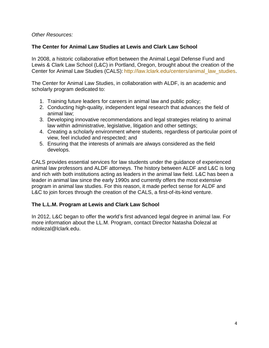#### *Other Resources:*

## **The Center for Animal Law Studies at Lewis and Clark Law School**

In 2008, a historic collaborative effort between the Animal Legal Defense Fund and Lewis & Clark Law School (L&C) in Portland, Oregon, brought about the creation of the Center for Animal Law Studies (CALS): [http://law.lclark.edu/centers/animal\\_law\\_studies.](http://law.lclark.edu/centers/animal_law_studies)

The Center for Animal Law Studies, in collaboration with ALDF, is an academic and scholarly program dedicated to:

- 1. Training future leaders for careers in animal law and public policy;
- 2. Conducting high-quality, independent legal research that advances the field of animal law;
- 3. Developing innovative recommendations and legal strategies relating to animal law within administrative, legislative, litigation and other settings;
- 4. Creating a scholarly environment where students, regardless of particular point of view, feel included and respected; and
- 5. Ensuring that the interests of animals are always considered as the field develops.

CALS provides essential services for law students under the guidance of experienced animal law professors and ALDF attorneys. The history between ALDF and L&C is long and rich with both institutions acting as leaders in the animal law field. L&C has been a leader in animal law since the early 1990s and currently offers the most extensive program in animal law studies. For this reason, it made perfect sense for ALDF and L&C to join forces through the creation of the CALS, a first-of-its-kind venture.

#### **The L.L.M. Program at Lewis and Clark Law School**

In 2012, L&C began to offer the world's first advanced legal degree in animal law. For more information about the LL.M. Program, contact Director Natasha Dolezal at [ndolezal@lclark.edu.](mailto:ndolezal@lclark.edu)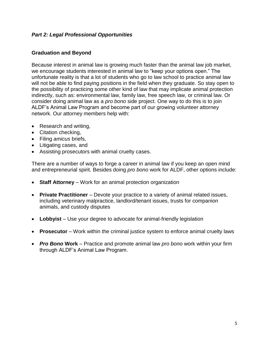## *Part 2: Legal Professional Opportunities*

#### **Graduation and Beyond**

Because interest in animal law is growing much faster than the animal law job market, we encourage students interested in animal law to "keep your options open." The unfortunate reality is that a lot of students who go to law school to practice animal law will not be able to find paying positions in the field when they graduate. So stay open to the possibility of practicing some other kind of law that may implicate animal protection indirectly, such as: environmental law, family law, free speech law, or criminal law. Or consider doing animal law as a *pro bono* side project. One way to do this is to join ALDF's Animal Law Program and become part of our growing volunteer attorney network. Our attorney members help with:

- Research and writing,
- Citation checking,
- Filing *amicus* briefs,
- Litigating cases, and
- Assisting prosecutors with animal cruelty cases.

There are a number of ways to forge a career in animal law if you keep an open mind and entrepreneurial spirit. Besides doing *pro bono* work for ALDF, other options include:

- **Staff Attorney** Work for an animal protection organization
- **Private Practitioner** Devote your practice to a variety of animal related issues, including veterinary malpractice, landlord/tenant issues, trusts for companion animals, and custody disputes
- **Lobbyist** Use your degree to advocate for animal-friendly legislation
- **Prosecutor** Work within the criminal justice system to enforce animal cruelty laws
- *Pro Bono* **Work** Practice and promote animal law *pro bono* work within your firm through ALDF's Animal Law Program.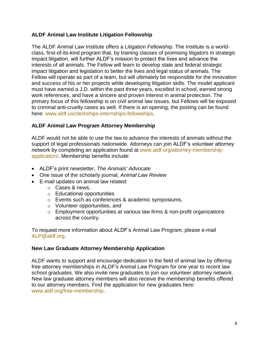## **ALDF Animal Law Institute Litigation Fellowship**

The ALDF Animal Law Institute offers a Litigation Fellowship. The Institute is a worldclass, first-of-its-kind program that, by training classes of promising litigators in strategic impact litigation, will further ALDF's mission to protect the lives and advance the interests of all animals. The Fellow will learn to develop state and federal strategic impact litigation and legislation to better the lives and legal status of animals. The Fellow will operate as part of a team, but will ultimately be responsible for the innovation and success of his or her projects while developing litigation skills. The model applicant must have earned a J.D. within the past three years, excelled in school, earned strong work references, and have a sincere and proven interest in animal protection. The primary focus of this fellowship is on civil animal law issues, but Fellows will be exposed to criminal anti-cruelty cases as well. If there is an opening, the posting can be found here: [www.aldf.us/clerkships-internships-fellowships.](http://www.aldf.us/clerkships-internships-fellowships)

## **ALDF Animal Law Program Attorney Membership**

ALDF would not be able to use the law to advance the interests of animals without the support of legal professionals nationwide. Attorneys can join ALDF's volunteer attorney network by completing an application found at [www.aldf.org/attorney-membership](http://www.aldf.org/attorney-membership-application/)[application/.](http://www.aldf.org/attorney-membership-application/) Membership benefits include:

- ALDF's print newsletter, *[The Animals' Advocate](http://www.aldf.org/article.php?list=type&type=110)*
- One issue of the scholarly journal, *Animal Law Review*
- E-mail updates on animal law related:
	- o Cases & news,
	- o Educational opportunities
	- o Events such as conferences & academic symposiums,
	- o Volunteer opportunities, and
	- o Employment opportunities at various law firms & non-profit organizations across the country.

To request more information about ALDF's Animal Law Program, please e-mail [ALP@aldf.org.](mailto:ALP@aldf.org)

## **New Law Graduate Attorney Membership Application**

ALDF wants to support and encourage dedication to the field of animal law by offering free attorney memberships in ALDF's Animal Law Program for one year to recent law school graduates. We also invite new graduates to join our volunteer attorney network. New law graduate attorney members will also receive the membership benefits offered to our attorney members. Find the application for new graduates here: [www.aldf.org/free-membership.](http://www.aldf.org/free-membership)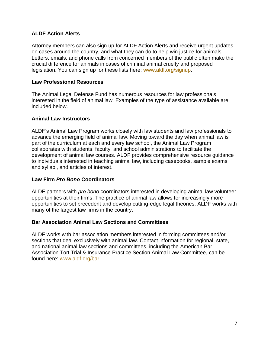## **ALDF Action Alerts**

Attorney members can also sign up for ALDF Action Alerts and receive urgent updates on cases around the country, and what they can do to help win justice for animals. Letters, emails, and phone calls from concerned members of the public often make the crucial difference for animals in cases of criminal animal cruelty and proposed legislation. You can sign up for these lists here: [www.aldf.org/signup.](http://www.aldf.org/signup)

#### **Law Professional Resources**

The Animal Legal Defense Fund has numerous resources for law professionals interested in the field of animal law. Examples of the type of assistance available are included below.

#### **Animal Law Instructors**

ALDF's Animal Law Program works closely with law students and law professionals to advance the emerging field of animal law. Moving toward the day when animal law is part of the curriculum at each and every law school, the Animal Law Program collaborates with students, faculty, and school administrations to facilitate the development of animal law courses. ALDF provides comprehensive resource guidance to individuals interested in teaching animal law, including [casebooks,](http://www.aldf.org/article.php?id=271) sample exams and syllabi, and articles of interest.

#### **Law Firm** *Pro Bono* **Coordinators**

ALDF partners with *pro bono* coordinators interested in developing animal law volunteer opportunities at their firms. The practice of animal law allows for increasingly more opportunities to set precedent and develop cutting-edge legal theories. ALDF works with many of the largest law firms in the country.

#### **Bar Association Animal Law Sections and Committees**

ALDF works with bar association members interested in forming [committees and/or](http://www.aldf.org/article.php?id=277)  [sections](http://www.aldf.org/article.php?id=277) that deal exclusively with animal law. Contact information for regional, state, and national animal law sections and committees, including the American Bar Association Tort Trial & Insurance Practice Section Animal Law Committee, can be found here: [www.aldf.org/bar.](http://www.aldf.org/bar)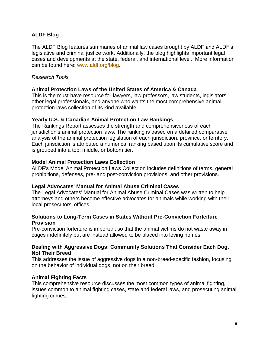## **[ALDF Blog](http://www.aldf.org/section.php?id=111)**

The ALDF Blog features summaries of animal law cases brought by ALDF and ALDF's legislative and criminal justice work. Additionally, the blog highlights important legal cases and developments at the state, federal, and international level. More information can be found here: [www.aldf.org/blog.](http://www.aldf.org/blog)

#### *Research Tools*

#### **Animal Protection Laws of the United States of America & Canada**

This is the must-have resource for lawyers, law professors, law students, legislators, other legal professionals, and anyone who wants the most comprehensive animal protection laws collection of its kind available.

#### **Yearly U.S. & Canadian Animal Protection Law Rankings**

The Rankings Report assesses the strength and comprehensiveness of each jurisdiction's animal protection laws. The ranking is based on a detailed comparative analysis of the animal protection legislation of each jurisdiction, province, or territory. Each jurisdiction is attributed a numerical ranking based upon its cumulative score and is grouped into a top, middle, or bottom tier.

#### **Model Animal Protection Laws Collection**

ALDF's Model Animal Protection Laws Collection includes definitions of terms, general prohibitions, defenses, pre- and post-conviction provisions, and other provisions.

#### **Legal Advocates' Manual for Animal Abuse Criminal Cases**

The Legal Advocates' Manual for Animal Abuse Criminal Cases was written to help attorneys and others become effective advocates for animals while working with their local prosecutors' offices.

#### **Solutions to Long-Term Cases in States Without Pre-Conviction Forfeiture Provision**

Pre-conviction forfeiture is important so that the animal victims do not waste away in cages indefinitely but are instead allowed to be placed into loving homes.

#### **Dealing with Aggressive Dogs: Community Solutions That Consider Each Dog, Not Their Breed**

This addresses the issue of aggressive dogs in a non-breed-specific fashion, focusing on the behavior of individual dogs, not on their breed.

## **Animal Fighting Facts**

This comprehensive resource discusses the most common types of animal fighting, issues common to animal fighting cases, state and federal laws, and prosecuting animal fighting crimes.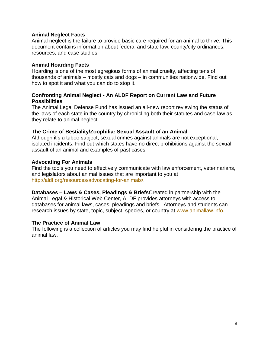#### **Animal Neglect Facts**

Animal neglect is the failure to provide basic care required for an animal to thrive. This document contains information about federal and state law, county/city ordinances, resources, and case studies.

#### **Animal Hoarding Facts**

Hoarding is one of the most egregious forms of animal cruelty, affecting tens of thousands of animals – mostly cats and dogs – in communities nationwide. Find out how to spot it and what you can do to stop it.

#### **Confronting Animal Neglect - An ALDF Report on Current Law and Future Possibilities**

The Animal Legal Defense Fund has issued an all-new report reviewing the status of the laws of each state in the country by chronicling both their statutes and case law as they relate to animal neglect.

#### **The Crime of Bestiality/Zoophilia: Sexual Assault of an Animal**

Although it's a taboo subject, sexual crimes against animals are not exceptional, isolated incidents. Find out which states have no direct prohibitions against the sexual assault of an animal and examples of past cases.

#### **Advocating For Animals**

Find the tools you need to effectively communicate with law enforcement, veterinarians, and legislators about animal issues that are important to you at [http://aldf.org/resources/advocating-for-animals/.](http://aldf.org/resources/advocating-for-animals/)

**Databases – Laws & Cases, Pleadings & Briefs**Created in partnership with the [Animal Legal & Historical Web Center,](http://animallaw.info/) ALDF provides attorneys with access to databases for animal laws, cases, pleadings and briefs. Attorneys and students can research issues by state, topic, subject, species, or country at [www.animallaw.info.](http://www.animallaw.info/)

#### **The Practice of Animal Law**

The following is a collection of articles you may find helpful in considering the practice of animal law.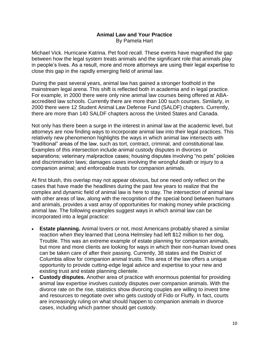#### **Animal Law and Your Practice** By Pamela Hart

Michael Vick. Hurricane Katrina. Pet food recall. These events have magnified the gap between how the legal system treats animals and the significant role that animals play in people's lives. As a result, more and more attorneys are using their legal expertise to close this gap in the rapidly emerging field of animal law.

During the past several years, animal law has gained a stronger foothold in the mainstream legal arena. This shift is reflected both in academia and in legal practice. For example, in 2000 there were only nine animal law courses being offered at ABAaccredited law schools. Currently there are more than 100 such courses. Similarly, in 2000 there were 12 Student Animal Law Defense Fund (SALDF) chapters. Currently, there are more than 140 SALDF chapters across the United States and Canada.

Not only has there been a surge in the interest in animal law at the academic level, but attorneys are now finding ways to incorporate animal law into their legal practices. This relatively new phenomenon highlights the ways in which animal law intersects with "traditional" areas of the law, such as tort, contract, criminal, and constitutional law. Examples of this intersection include animal custody disputes in divorces or separations; veterinary malpractice cases; housing disputes involving "no pets" policies and discrimination laws; damages cases involving the wrongful death or injury to a companion animal; and enforceable trusts for companion animals.

At first blush, this overlap may not appear obvious, but one need only reflect on the cases that have made the headlines during the past few years to realize that the complex and dynamic field of animal law is here to stay. The intersection of animal law with other areas of law, along with the recognition of the special bond between humans and animals, provides a vast array of opportunities for making money while practicing animal law. The following examples suggest ways in which animal law can be incorporated into a legal practice:

- **Estate planning.** Animal lovers or not, most Americans probably shared a similar reaction when they learned that Leona Helmsley had left \$12 million to her dog, Trouble. This was an extreme example of estate planning for companion animals, but more and more clients are looking for ways in which their non-human loved ones can be taken care of after their passing. Currently, 38 states and the District of Columbia allow for companion animal trusts. This area of the law offers a unique opportunity to provide cutting-edge legal advice and expertise to your new and existing trust and estate planning clientele.
- **Custody disputes.** Another area of practice with enormous potential for providing animal law expertise involves custody disputes over companion animals. With the divorce rate on the rise, statistics show divorcing couples are willing to invest time and resources to negotiate over who gets custody of Fido or Fluffy. In fact, courts are increasingly ruling on what should happen to companion animals in divorce cases, including which partner should get custody.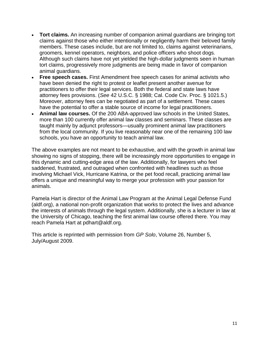- **Tort claims.** An increasing number of companion animal guardians are bringing tort claims against those who either intentionally or negligently harm their beloved family members. These cases include, but are not limited to, claims against veterinarians, groomers, kennel operators, neighbors, and police officers who shoot dogs. Although such claims have not yet yielded the high-dollar judgments seen in human tort claims, progressively more judgments are being made in favor of companion animal guardians.
- **Free speech cases.** First Amendment free speech cases for animal activists who have been denied the right to protest or leaflet present another avenue for practitioners to offer their legal services. Both the federal and state laws have attorney fees provisions. (*See* 42 U.S.C. § 1988; Cal. Code Civ. Proc. § 1021.5.) Moreover, attorney fees can be negotiated as part of a settlement. These cases have the potential to offer a stable source of income for legal practitioners.
- **Animal law courses.** Of the 200 ABA-approved law schools in the United States, more than 100 currently offer animal law classes and seminars. These classes are taught mainly by adjunct professors—usually prominent animal law practitioners from the local community. If you live reasonably near one of the remaining 100 law schools, you have an opportunity to teach animal law.

The above examples are not meant to be exhaustive, and with the growth in animal law showing no signs of stopping, there will be increasingly more opportunities to engage in this dynamic and cutting-edge area of the law. Additionally, for lawyers who feel saddened, frustrated, and outraged when confronted with headlines such as those involving Michael Vick, Hurricane Katrina, or the pet food recall, practicing animal law offers a unique and meaningful way to merge your profession with your passion for animals.

Pamela Hart is director of the Animal Law Program at the Animal Legal Defense Fund [\(aldf.org\)](http://www.aldf.org/), a national non-profit organization that works to protect the lives and advance the interests of animals through the legal system. Additionally, she is a lecturer in law at the University of Chicago, teaching the first animal law course offered there. You may reach Pamela Hart at [pdhart@aldf.org.](mailto:palexander@aldf.org)

This article is reprinted with permission from *GP Solo*, Volume 26, Number 5, July/August 2009.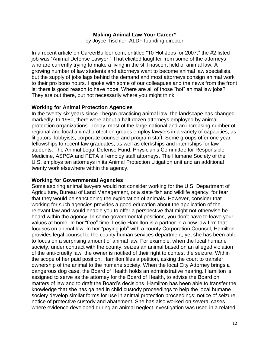#### **Making Animal Law Your Career\***

by Joyce Tischler, ALDF founding director

In a recent article on CareerBuilder.com, entitled "10 Hot Jobs for 2007," the #2 listed job was "Animal Defense Lawyer." That elicited laughter from some of the attorneys who are currently trying to make a living in the still nascent field of animal law. A growing number of law students and attorneys want to become animal law specialists, but the supply of jobs lags behind the demand and most attorneys consign animal work to their pro bono hours. I spoke with some of our colleagues and the news from the front is: there is good reason to have hope. Where are all of those "hot" animal law jobs? They are out there, but not necessarily where you might think.

#### **Working for Animal Protection Agencies**

In the twenty-six years since I began practicing animal law, the landscape has changed markedly. In 1980, there were about a half dozen attorneys employed by animal protection organizations. Today, most of the large national and an increasing number of regional and local animal protection groups employ lawyers in a variety of capacities, as litigators, lobbyists, corporate counsel and program staff. Some groups offer one year fellowships to recent law graduates, as well as clerkships and internships for law students. The Animal Legal Defense Fund, Physician's Committee for Responsible Medicine, ASPCA and PETA all employ staff attorneys. The Humane Society of the U.S. employs ten attorneys in its Animal Protection Litigation unit and an additional twenty work elsewhere within the agency.

#### **Working for Governmental Agencies**

Some aspiring animal lawyers would not consider working for the U.S. Department of Agriculture, Bureau of Land Management, or a state fish and wildlife agency, for fear that they would be sanctioning the exploitation of animals. However, consider that working for such agencies provides a good education about the application of the relevant law and would enable you to offer a perspective that might not otherwise be heard within the agency. In some governmental positions, you don't have to leave your values at home. In her "free" time, Leslie Hamilton is a partner in a new law firm that focuses on animal law. In her "paying job" with a county Corporation Counsel, Hamilton provides legal counsel to the county human services department, yet she has been able to focus on a surprising amount of animal law. For example, when the local humane society, under contract with the county, seizes an animal based on an alleged violation of the anti-cruelty law, the owner is notified of their right to contest the seizure. Within the scope of her paid position, Hamilton files a petition, asking the court to transfer ownership of the animal to the humane society. When the local City Attorney brings a dangerous dog case, the Board of Health holds an administrative hearing. Hamilton is assigned to serve as the attorney for the Board of Health, to advise the Board on matters of law and to draft the Board's decisions. Hamilton has been able to transfer the knowledge that she has gained in child custody proceedings to help the local humane society develop similar forms for use in animal protection proceedings: notice of seizure, notice of protective custody and abatement. She has also worked on several cases where evidence developed during an animal neglect investigation was used in a related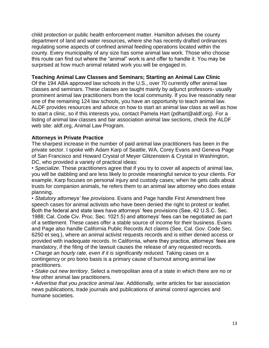child protection or public health enforcement matter. Hamilton advises the county department of land and water resources, where she has recently drafted ordinances regulating some aspects of confined animal feeding operations located within the county. Every municipality of any size has some animal law work. Those who choose this route can find out where the "animal" work is and offer to handle it. You may be surprised at how much animal related work you will be engaged in.

#### **Teaching Animal Law Classes and Seminars; Starting an Animal Law Clinic**

Of the 194 ABA approved law schools in the U.S., over 70 currently offer animal law classes and seminars. These classes are taught mainly by adjunct professors- usually prominent animal law practitioners from the local community. If you live reasonably near one of the remaining 124 law schools, you have an opportunity to teach animal law. ALDF provides resources and advice on how to start an animal law class as well as how to start a clinic, so if this interests you, contact Pamela Hart (pdhart@aldf.org). For a listing of animal law classes and bar association animal law sections, check the ALDF web site: aldf.org, Animal Law Program.

#### **Attorneys in Private Practice**

The sharpest increase in the number of paid animal law practitioners has been in the private sector. I spoke with Adam Karp of Seattle, WA, Corey Evans and Geneva Page of San Francisco and Howard Crystal of Meyer Glitzenstein & Crystal in Washington, DC, who provided a variety of practical ideas:

• *Specialize*. These practitioners agree that if you try to cover all aspects of animal law, you will be dabbling and are less likely to provide meaningful service to your clients. For example, Karp focuses on personal injury and custody cases; when he gets calls about trusts for companion animals, he refers them to an animal law attorney who does estate planning.

• *Statutory attorneys' fee provisions*. Evans and Page handle First Amendment free speech cases for animal activists who have been denied the right to protest or leaflet. Both the federal and state laws have attorneys' fees provisions (See, 42 U.S.C. Sec. 1988; Cal. Code Civ. Proc. Sec. 1021.5) and attorneys' fees can be negotiated as part of a settlement. These cases offer a stable source of income for their business. Evans and Page also handle California Public Records Act claims (See, Cal. Gov. Code Sec. 6250 et seq.), where an animal activist requests records and is either denied access or provided with inadequate records. In California, where they practice, attorneys' fees are mandatory, if the filing of the lawsuit causes the release of any requested records. • Charge an hourly rate, even if it is significantly reduced. Taking cases on a

contingency or pro bono basis is a primary cause of burnout among animal law practitioners.

• *Stake out new territory*. Select a metropolitan area of a state in which there are no or few other animal law practitioners.

• *Advertise that you practice animal law*. Additionally, write articles for bar association news publications, trade journals and publications of animal control agencies and humane societies.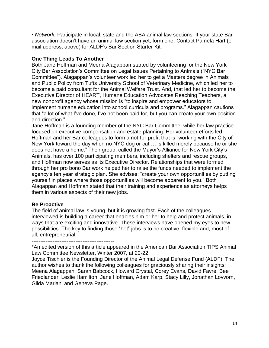• *Network.* Participate in local, state and the ABA animal law sections. If your state Bar association doesn't have an animal law section yet, form one. Contact Pamela Hart (email address, above) for ALDF's Bar Section Starter Kit.

#### **One Thing Leads To Another**

Both Jane Hoffman and Meena Alagappan started by volunteering for the New York City Bar Association's Committee on Legal Issues Pertaining to Animals ("NYC Bar Committee"). Alagappan's volunteer work led her to get a Masters degree in Animals and Public Policy from Tufts University School of Veterinary Medicine, which led her to become a paid consultant for the Animal Welfare Trust. And, that led her to become the Executive Director of HEART, Humane Education Advocates Reaching Teachers, a new nonprofit agency whose mission is "to inspire and empower educators to implement humane education into school curricula and programs." Alagappan cautions that "a lot of what I've done, I've not been paid for, but you can create your own position and direction."

Jane Hoffman is a founding member of the NYC Bar Committee, while her law practice focused on executive compensation and estate planning. Her volunteer efforts led Hoffman and her Bar colleagues to form a not-for-profit that is "working with the City of New York toward the day when no NYC dog or cat … is killed merely because he or she does not have a home." Their group, called the Mayor's Alliance for New York City's Animals, has over 100 participating members, including shelters and rescue groups, and Hoffman now serves as its Executive Director. Relationships that were formed through her pro bono Bar work helped her to raise the funds needed to implement the agency's ten year strategic plan. She advises: "create your own opportunities by putting yourself in places where those opportunities will become apparent to you." Both Alagappan and Hoffman stated that their training and experience as attorneys helps them in various aspects of their new jobs.

#### **Be Proactive**

The field of animal law is young, but it is growing fast. Each of the colleagues I interviewed is building a career that enables him or her to help and protect animals, in ways that are exciting and innovative. These interviews have opened my eyes to new possibilities. The key to finding those "hot" jobs is to be creative, flexible and, most of all, entrepreneurial.

-----------------------------------------------

\*An edited version of this article appeared in the American Bar Association TIPS Animal Law Committee Newsletter, Winter 2007, at 20-22.

Joyce Tischler is the Founding Director of the Animal Legal Defense Fund (ALDF). The author wishes to thank the following colleagues for graciously sharing their insights: Meena Alagappan, Sarah Babcock, Howard Crystal, Corey Evans, David Favre, Bee Friedlander, Leslie Hamilton, Jane Hoffman, Adam Karp, Stacy Lilly, Jonathan Lovvorn, Gilda Mariani and Geneva Page.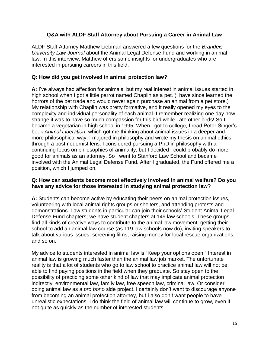## **Q&A with ALDF Staff Attorney about Pursuing a Career in Animal Law**

ALDF Staff Attorney Matthew Liebman answered a few questions for the *[Brandeis](http://www.brandeislawjournal.com/)  [University Law Journal](http://www.brandeislawjournal.com/)* about the Animal Legal Defense Fund and working in animal law. In this interview, Matthew offers some insights for undergraduates who are interested in pursuing careers in this field.

#### **Q: How did you get involved in animal protection law?**

**A:** I've always had affection for animals, but my real interest in animal issues started in high school when I got a little parrot named Chaplin as a pet. (I have since learned the horrors of the pet trade and would never again purchase an animal from a pet store.) My relationship with Chaplin was pretty formative, and it really opened my eyes to the complexity and individual personality of each animal. I remember realizing one day how strange it was to have so much compassion for this bird while I ate other birds! So I became a vegetarian in high school in 1995. When I got to college, I read Peter Singer's book *Animal Liberation*, which got me thinking about animal issues in a deeper and more philosophical way. I majored in philosophy and wrote my thesis on animal ethics through a postmodernist lens. I considered pursuing a PhD in philosophy with a continuing focus on philosophies of animality, but I decided I could probably do more good for animals as an attorney. So I went to Stanford Law School and became involved with the Animal Legal Defense Fund. After I graduated, the Fund offered me a position, which I jumped on.

#### **Q: How can students become most effectively involved in animal welfare? Do you have any advice for those interested in studying animal protection law?**

**A:** Students can become active by educating their peers on animal protection issues, volunteering with local animal rights groups or shelters, and attending protests and demonstrations. Law students in particular can join their schools' [Student Animal Legal](http://www.aldf.org/article.php?id=446)  [Defense Fund chapters;](http://www.aldf.org/article.php?id=446) we have student chapters at 149 law schools. These groups find all kinds of creative ways to contribute to the animal law movement: getting their school to [add an animal law course](http://www.aldf.org/article.php?id=429) (as 119 law schools now do), inviting [speakers](http://www.aldf.org/article.php?id=595) to talk about various issues, [screening films,](http://www.aldf.org/article.php?id=594) raising money for local rescue organizations, and so on.

My advice to students interested in animal law is "Keep your options open." Interest in animal law is growing much faster than the animal law job market. The unfortunate reality is that a lot of students who go to law school to practice animal law will not be able to find paying positions in the field when they graduate. So stay open to the possibility of practicing some other kind of law that may implicate animal protection indirectly: environmental law, family law, free speech law, criminal law. Or consider doing animal law as a *pro bono* side project. I certainly don't want to discourage anyone from becoming an animal protection attorney, but I also don't want people to have unrealistic expectations. I do think the field of animal law will continue to grow, even if not quite as quickly as the number of interested students.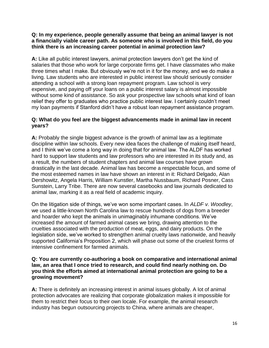#### **Q: In my experience, people generally assume that being an animal lawyer is not a financially viable career path. As someone who is involved in this field, do you think there is an increasing career potential in animal protection law?**

**A:** Like all public interest lawyers, animal protection lawyers don't get the kind of salaries that those who work for large corporate firms get. I have classmates who make three times what I make. But obviously we're not in it for the money, and we do make a living. Law students who are interested in public interest law should seriously consider attending a school with a strong loan repayment program. Law school is very expensive, and paying off your loans on a public interest salary is almost impossible without some kind of assistance. So ask your prospective law schools what kind of loan relief they offer to graduates who practice public interest law. I certainly couldn't meet my loan payments if Stanford didn't have a robust loan repayment assistance program.

## **Q: What do you feel are the biggest advancements made in animal law in recent years?**

**A:** Probably the single biggest advance is the growth of animal law as a legitimate discipline within law schools. Every new idea faces the challenge of making itself heard, and I think we've come a long way in doing that for animal law. The ALDF has worked hard to support law students and law professors who are interested in its study and, as a result, the numbers of student chapters and animal law courses have grown drastically in the last decade. Animal law has become a respectable focus, and some of the most esteemed names in law have shown an interest in it: Richard Delgado, Alan Dershowitz, Angela Harris, William Kunstler, Martha Nussbaum, Richard Posner, Cass Sunstein, Larry Tribe. There are now [several casebooks and law journals](http://www.aldf.org/article.php?id=271) dedicated to animal law, marking it as a real field of academic inquiry.

On the litigation side of things, we've won some important cases. In *[ALDF v. Woodley](http://www.aldf.org/article.php?id=284)*, we used a little-known North Carolina law to rescue hundreds of dogs from a breeder and hoarder who kept the animals in unimaginably inhumane conditions. We've increased the amount of farmed animal cases we bring, drawing attention to the cruelties associated with the production of meat, eggs, and dairy products. On the legislation side, we've worked to strengthen animal cruelty laws nationwide, and heavily supported [California's Proposition 2,](http://www.aldf.org/article.php?id=757) which will phase out some of the cruelest forms of intensive confinement for farmed animals.

#### **Q: You are currently co-authoring a book on comparative and international animal law, an area that I once tried to research, and could find nearly nothing on. Do you think the efforts aimed at international animal protection are going to be a growing movement?**

**A:** There is definitely an increasing interest in animal issues globally. A lot of animal protection advocates are realizing that corporate globalization makes it impossible for them to restrict their focus to their own locale. For example, the animal research industry has begun outsourcing projects to China, where animals are cheaper,